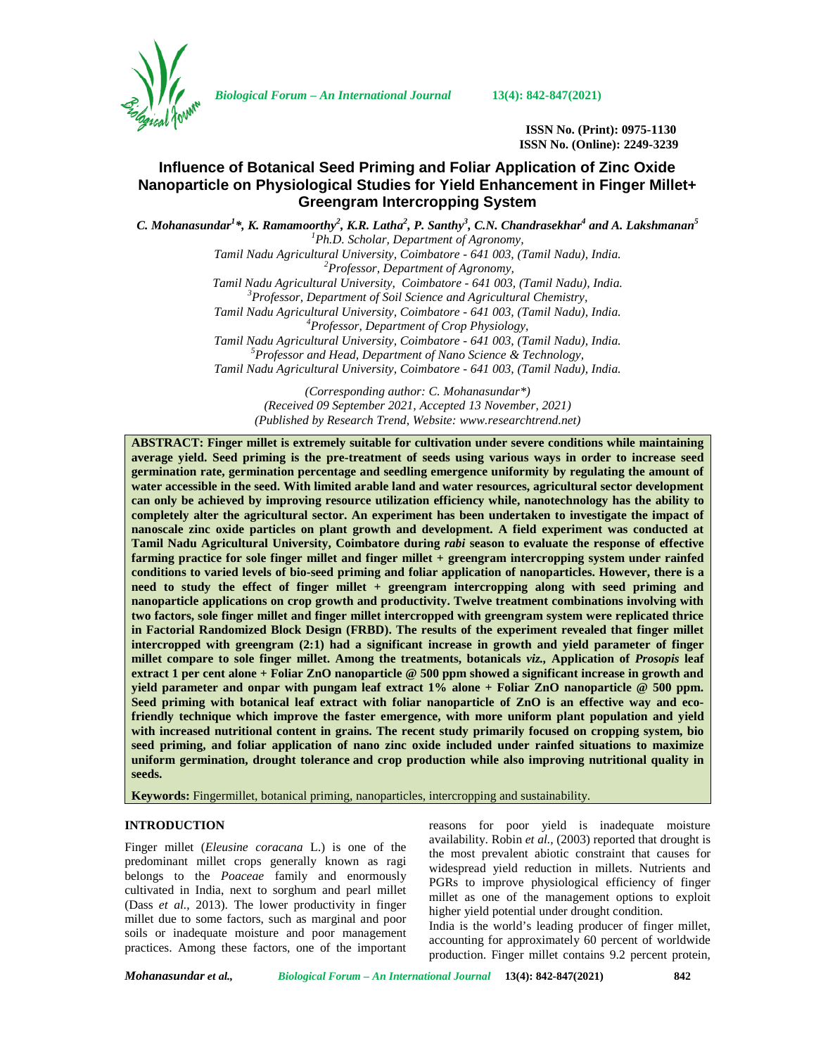

*Biological Forum – An International Journal* **13(4): 842-847(2021)**

**ISSN No. (Print): 0975-1130 ISSN No. (Online): 2249-3239**

# **Influence of Botanical Seed Priming and Foliar Application of Zinc Oxide Nanoparticle on Physiological Studies for Yield Enhancement in Finger Millet+ Greengram Intercropping System**

*C. Mohanasundar<sup>1</sup>\*, K. Ramamoorthy<sup>2</sup> , K.R. Latha<sup>2</sup> , P. Santhy<sup>3</sup> , C.N. Chandrasekhar<sup>4</sup> and A. Lakshmanan<sup>5</sup> <sup>1</sup>Ph.D. Scholar, Department of Agronomy, Tamil Nadu Agricultural University, Coimbatore - 641 003, (Tamil Nadu), India. <sup>2</sup>Professor, Department of Agronomy, Tamil Nadu Agricultural University, Coimbatore - 641 003, (Tamil Nadu), India. <sup>3</sup>Professor, Department of Soil Science and Agricultural Chemistry, Tamil Nadu Agricultural University, Coimbatore - 641 003, (Tamil Nadu), India. <sup>4</sup>Professor, Department of Crop Physiology, Tamil Nadu Agricultural University, Coimbatore - 641 003, (Tamil Nadu), India. <sup>5</sup>Professor and Head, Department of Nano Science & Technology, Tamil Nadu Agricultural University, Coimbatore - 641 003, (Tamil Nadu), India. (Corresponding author: C. Mohanasundar\*)*

*(Received 09 September 2021, Accepted 13 November, 2021) (Published by Research Trend, Website: [www.researchtrend.net\)](www.researchtrend.net)*

**ABSTRACT: Finger millet is extremely suitable for cultivation under severe conditions while maintaining average yield. Seed priming is the pre-treatment of seeds using various ways in order to increase seed germination rate, germination percentage and seedling emergence uniformity by regulating the amount of water accessible in the seed. With limited arable land and water resources, agricultural sector development can only be achieved by improving resource utilization efficiency while, nanotechnology has the ability to completely alter the agricultural sector. An experiment has been undertaken to investigate the impact of nanoscale zinc oxide particles on plant growth and development. A field experiment was conducted at Tamil Nadu Agricultural University, Coimbatore during** *rabi* **season to evaluate the response of effective farming practice for sole finger millet and finger millet + greengram intercropping system under rainfed conditions to varied levels of bio-seed priming and foliar application of nanoparticles. However, there is a need to study the effect of finger millet + greengram intercropping along with seed priming and nanoparticle applications on crop growth and productivity. Twelve treatment combinations involving with two factors, sole finger millet and finger millet intercropped with greengram system were replicated thrice in Factorial Randomized Block Design (FRBD). The results of the experiment revealed that finger millet intercropped with greengram (2:1) had a significant increase in growth and yield parameter of finger millet compare to sole finger millet. Among the treatments, botanicals** *viz.,* **Application of** *Prosopis* **leaf extract 1 per cent alone + Foliar ZnO nanoparticle @ 500 ppm showed a significant increase in growth and yield parameter and onpar with pungam leaf extract 1% alone + Foliar ZnO nanoparticle @ 500 ppm. Seed priming with botanical leaf extract with foliar nanoparticle of ZnO is an effective way and ecofriendly technique which improve the faster emergence, with more uniform plant population and yield with increased nutritional content in grains. The recent study primarily focused on cropping system, bio seed priming, and foliar application of nano zinc oxide included under rainfed situations to maximize uniform germination, drought tolerance and crop production while also improving nutritional quality in seeds.**

**Keywords:** Fingermillet, botanical priming, nanoparticles, intercropping and sustainability.

## **INTRODUCTION**

Finger millet (*Eleusine coracana* L.) is one of the predominant millet crops generally known as ragi belongs to the *Poaceae* family and enormously cultivated in India, next to sorghum and pearl millet (Dass *et al.,* 2013). The lower productivity in finger millet due to some factors, such as marginal and poor soils or inadequate moisture and poor management practices. Among these factors, one of the important

reasons for poor yield is inadequate moisture availability. Robin *et al.,* (2003) reported that drought is the most prevalent abiotic constraint that causes for widespread yield reduction in millets. Nutrients and PGRs to improve physiological efficiency of finger millet as one of the management options to exploit higher yield potential under drought condition.

India is the world's leading producer of finger millet, accounting for approximately 60 percent of worldwide production. Finger millet contains 9.2 percent protein,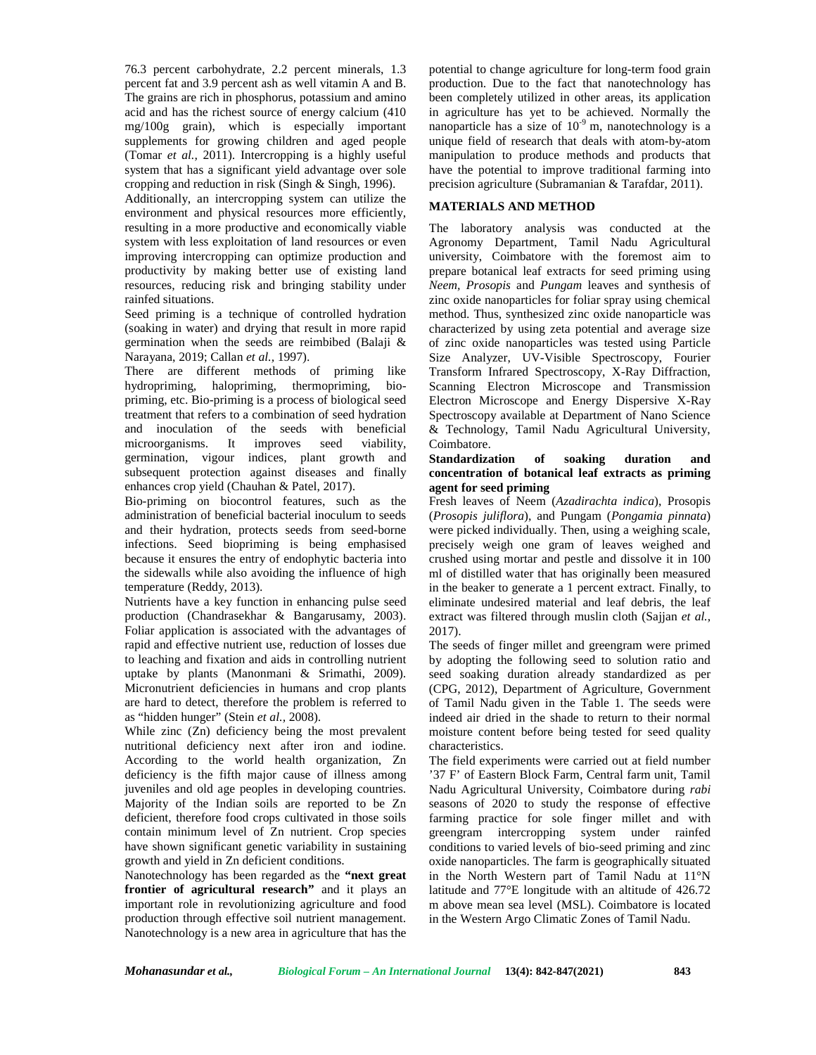76.3 percent carbohydrate, 2.2 percent minerals, 1.3 percent fat and 3.9 percent ash as well vitamin A and B. The grains are rich in phosphorus, potassium and amino acid and has the richest source of energy calcium (410 mg/100g grain), which is especially important supplements for growing children and aged people (Tomar *et al.,* 2011). Intercropping is a highly useful system that has a significant yield advantage over sole cropping and reduction in risk (Singh & Singh, 1996).

Additionally, an intercropping system can utilize the environment and physical resources more efficiently, resulting in a more productive and economically viable system with less exploitation of land resources or even improving intercropping can optimize production and productivity by making better use of existing land resources, reducing risk and bringing stability under rainfed situations.

Seed priming is a technique of controlled hydration (soaking in water) and drying that result in more rapid germination when the seeds are reimbibed (Balaji & Narayana, 2019; Callan *et al.,* 1997).

There are different methods of priming like hydropriming, halopriming, thermopriming, bio priming, etc. Bio-priming is a process of biological seed treatment that refers to a combination of seed hydration and inoculation of the seeds with beneficial microorganisms. It improves seed viability, germination, vigour indices, plant growth and subsequent protection against diseases and finally enhances crop yield (Chauhan & Patel, 2017).

Bio-priming on biocontrol features, such as the administration of beneficial bacterial inoculum to seeds and their hydration, protects seeds from seed-borne infections. Seed biopriming is being emphasised because it ensures the entry of endophytic bacteria into the sidewalls while also avoiding the influence of high temperature (Reddy, 2013).

Nutrients have a key function in enhancing pulse seed production (Chandrasekhar & Bangarusamy, 2003). Foliar application is associated with the advantages of rapid and effective nutrient use, reduction of losses due to leaching and fixation and aids in controlling nutrient uptake by plants (Manonmani & Srimathi, 2009). Micronutrient deficiencies in humans and crop plants are hard to detect, therefore the problem is referred to as "hidden hunger" (Stein *et al.,* 2008).

While zinc (Zn) deficiency being the most prevalent nutritional deficiency next after iron and iodine. According to the world health organization, Zn deficiency is the fifth major cause of illness among juveniles and old age peoples in developing countries. Majority of the Indian soils are reported to be Zn deficient, therefore food crops cultivated in those soils contain minimum level of Zn nutrient. Crop species have shown significant genetic variability in sustaining growth and yield in Zn deficient conditions.

Nanotechnology has been regarded as the **"next great frontier of agricultural research"** and it plays an important role in revolutionizing agriculture and food production through effective soil nutrient management. Nanotechnology is a new area in agriculture that has the

potential to change agriculture for long-term food grain production. Due to the fact that nanotechnology has been completely utilized in other areas, its application in agriculture has yet to be achieved. Normally the nanoparticle has a size of  $10^{-9}$  m, nanotechnology is a unique field of research that deals with atom-by-atom manipulation to produce methods and products that have the potential to improve traditional farming into precision agriculture (Subramanian & Tarafdar, 2011).

## **MATERIALS AND METHOD**

The laboratory analysis was conducted at the Agronomy Department, Tamil Nadu Agricultural university, Coimbatore with the foremost aim to prepare botanical leaf extracts for seed priming using *Neem, Prosopis* and *Pungam* leaves and synthesis of zinc oxide nanoparticles for foliar spray using chemical method. Thus, synthesized zinc oxide nanoparticle was characterized by using zeta potential and average size of zinc oxide nanoparticles was tested using Particle Size Analyzer, UV-Visible Spectroscopy, Fourier Transform Infrared Spectroscopy, X-Ray Diffraction, Scanning Electron Microscope and Transmission Electron Microscope and Energy Dispersive X-Ray Spectroscopy available at Department of Nano Science & Technology, Tamil Nadu Agricultural University, Coimbatore.

# **Standardization of soaking duration and concentration of botanical leaf extracts as priming agent for seed priming**

Fresh leaves of Neem (*Azadirachta indica*), Prosopis (*Prosopis juliflora*), and Pungam (*Pongamia pinnata*) were picked individually. Then, using a weighing scale, precisely weigh one gram of leaves weighed and crushed using mortar and pestle and dissolve it in 100 ml of distilled water that has originally been measured in the beaker to generate a 1 percent extract. Finally, to eliminate undesired material and leaf debris, the leaf extract was filtered through muslin cloth (Sajjan *et al.,* 2017).

The seeds of finger millet and greengram were primed by adopting the following seed to solution ratio and seed soaking duration already standardized as per (CPG, 2012), Department of Agriculture, Government of Tamil Nadu given in the Table 1. The seeds were indeed air dried in the shade to return to their normal moisture content before being tested for seed quality characteristics.

The field experiments were carried out at field number '37 F' of Eastern Block Farm, Central farm unit, Tamil Nadu Agricultural University, Coimbatore during *rabi* seasons of 2020 to study the response of effective farming practice for sole finger millet and with greengram intercropping system under rainfed conditions to varied levels of bio-seed priming and zinc oxide nanoparticles. The farm is geographically situated in the North Western part of Tamil Nadu at 11°N latitude and 77°E longitude with an altitude of 426.72 m above mean sea level (MSL). Coimbatore is located in the Western Argo Climatic Zones of Tamil Nadu.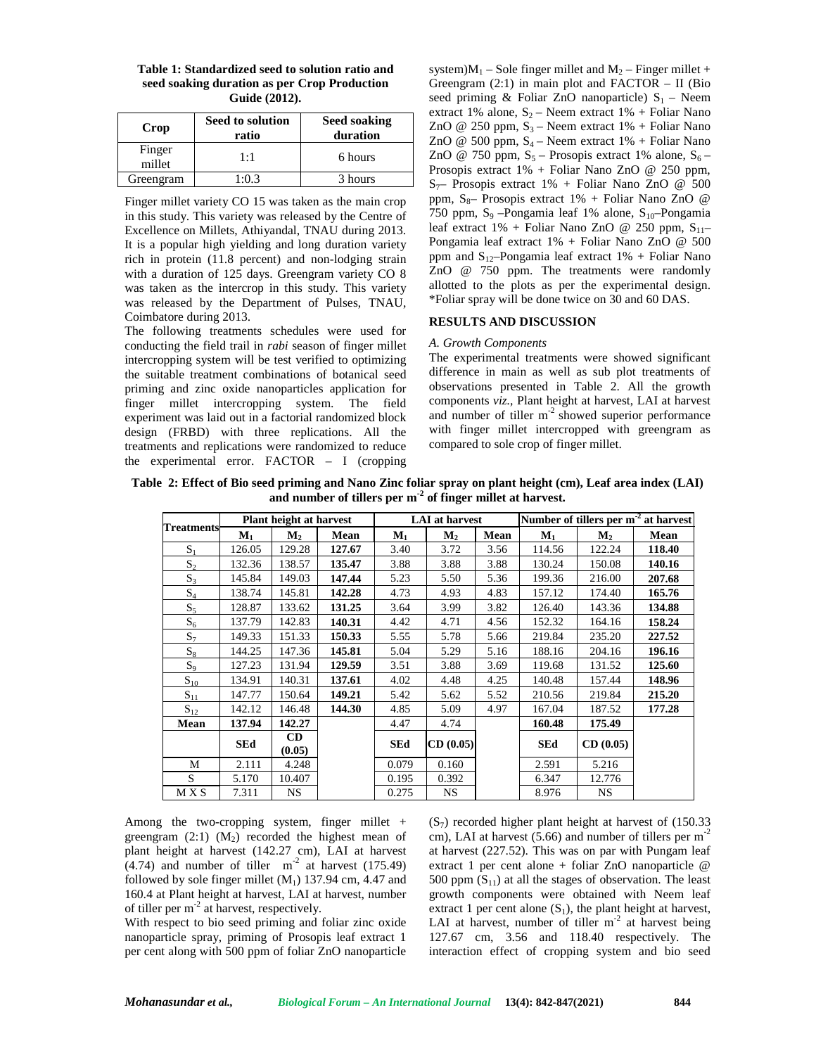| Table 1: Standardized seed to solution ratio and | syst |
|--------------------------------------------------|------|
| seed soaking duration as per Crop Production     | Gre  |
| Guide (2012).                                    | seec |

| Crop             | Seed to solution<br>ratio | Seed soaking<br>duration |  |  |
|------------------|---------------------------|--------------------------|--|--|
| Finger<br>millet | 1:1                       | 6 hours                  |  |  |
| Greengram        | 1:0.3                     | 3 hours                  |  |  |

Finger millet variety CO 15 was taken as the main crop in this study. This variety was released by the Centre of Excellence on Millets, Athiyandal, TNAU during 2013. It is a popular high yielding and long duration variety rich in protein (11.8 percent) and non-lodging strain with a duration of 125 days. Greengram variety CO 8 was taken as the intercrop in this study. This variety was released by the Department of Pulses, TNAU, Coimbatore during 2013.

The following treatments schedules were used for conducting the field trail in *rabi* season of finger millet intercropping system will be test verified to optimizing the suitable treatment combinations of botanical seed priming and zinc oxide nanoparticles application for finger millet intercropping system. The field experiment was laid out in a factorial randomized block design (FRBD) with three replications. All the treatments and replications were randomized to reduce the experimental error. FACTOR – I (cropping

system) $M_1$  – Sole finger millet and  $M_2$  – Finger millet + Greengram  $(2:1)$  in main plot and FACTOR – II (Bio seed priming & Foliar ZnO nanoparticle)  $S_1$  – Neem extract 1% alone,  $S_2$  – Neem extract 1% + Foliar Nano ZnO @ 250 ppm,  $S_3$  – Neem extract 1% + Foliar Nano ZnO @ 500 ppm,  $S_4$  – Neem extract 1% + Foliar Nano ZnO @ 750 ppm,  $S_5$  – Prosopis extract 1% alone,  $S_6$  – Prosopis extract 1% + Foliar Nano ZnO @ 250 ppm,  $S_{7}$ – Prosopis extract 1% + Foliar Nano ZnO @ 500 ppm,  $S_8$ – Prosopis extract 1% + Foliar Nano ZnO @  $750$  ppm, S<sub>9</sub> –Pongamia leaf 1% alone, S<sub>10</sub>–Pongamia leaf extract  $1\%$  + Foliar Nano ZnO @ 250 ppm,  $S_{11}$ -Pongamia leaf extract 1% + Foliar Nano ZnO @ 500 ppm and  $S_{12}$ -Pongamia leaf extract 1% + Foliar Nano ZnO @ 750 ppm. The treatments were randomly allotted to the plots as per the experimental design. \*Foliar spray will be done twice on 30 and 60 DAS.

## **RESULTS AND DISCUSSION**

#### *A. Growth Components*

The experimental treatments were showed significant difference in main as well as sub plot treatments of observations presented in Table 2. All the growth components *viz.,* Plant height at harvest, LAI at harvest and number of tiller  $m<sup>2</sup>$  showed superior performance with finger millet intercropped with greengram as compared to sole crop of finger millet.

**Table 2: Effect of Bio seed priming and Nano Zinc foliar spray on plant height (cm), Leaf area index (LAI) and number of tillers per m-2 of finger millet at harvest.**

|                   | Plant height at harvest |                |        | <b>LAI</b> at harvest |          |      | Number of tillers per m <sup>-2</sup> at harvest |                |        |  |
|-------------------|-------------------------|----------------|--------|-----------------------|----------|------|--------------------------------------------------|----------------|--------|--|
| <b>Treatments</b> | $M_{1}$                 | M <sub>2</sub> | Mean   | $\mathbf{M}_1$        | $M_{2}$  | Mean | $M_1$                                            | M <sub>2</sub> | Mean   |  |
| $S_1$             | 126.05                  | 129.28         | 127.67 | 3.40                  | 3.72     | 3.56 | 114.56                                           | 122.24         | 118.40 |  |
| $S_2$             | 132.36                  | 138.57         | 135.47 | 3.88                  | 3.88     | 3.88 | 130.24                                           | 150.08         | 140.16 |  |
| $S_3$             | 145.84                  | 149.03         | 147.44 | 5.23                  | 5.50     | 5.36 | 199.36                                           | 216.00         | 207.68 |  |
| $S_4$             | 138.74                  | 145.81         | 142.28 | 4.73                  | 4.93     | 4.83 | 157.12                                           | 174.40         | 165.76 |  |
| $S_5$             | 128.87                  | 133.62         | 131.25 | 3.64                  | 3.99     | 3.82 | 126.40                                           | 143.36         | 134.88 |  |
| $S_6$             | 137.79                  | 142.83         | 140.31 | 4.42                  | 4.71     | 4.56 | 152.32                                           | 164.16         | 158.24 |  |
| $S_7$             | 149.33                  | 151.33         | 150.33 | 5.55                  | 5.78     | 5.66 | 219.84                                           | 235.20         | 227.52 |  |
| $S_8$             | 144.25                  | 147.36         | 145.81 | 5.04                  | 5.29     | 5.16 | 188.16                                           | 204.16         | 196.16 |  |
| $S_9$             | 127.23                  | 131.94         | 129.59 | 3.51                  | 3.88     | 3.69 | 119.68                                           | 131.52         | 125.60 |  |
| $S_{10}$          | 134.91                  | 140.31         | 137.61 | 4.02                  | 4.48     | 4.25 | 140.48                                           | 157.44         | 148.96 |  |
| $S_{11}$          | 147.77                  | 150.64         | 149.21 | 5.42                  | 5.62     | 5.52 | 210.56                                           | 219.84         | 215.20 |  |
| $S_{12}$          | 142.12                  | 146.48         | 144.30 | 4.85                  | 5.09     | 4.97 | 167.04                                           | 187.52         | 177.28 |  |
| Mean              | 137.94                  | 142.27         |        | 4.47                  | 4.74     |      | 160.48                                           | 175.49         |        |  |
|                   | <b>SEd</b>              | CD<br>(0.05)   |        | <b>SEd</b>            | CD(0.05) |      | <b>SEd</b>                                       | CD(0.05)       |        |  |
| М                 | 2.111                   | 4.248          |        | 0.079                 | 0.160    |      | 2.591                                            | 5.216          |        |  |
| S.                | 5.170                   | 10.407         |        | 0.195                 | 0.392    |      | 6.347                                            | 12.776         |        |  |
| M X S             | 7.311                   | NS.            |        | 0.275                 | NS.      |      | 8.976                                            | <b>NS</b>      |        |  |

Among the two-cropping system, finger millet  $+$ greengram  $(2:1)$   $(M<sub>2</sub>)$  recorded the highest mean of plant height at harvest (142.27 cm), LAI at harvest (4.74) and number of tiller  $m<sup>2</sup>$  at harvest (175.49) followed by sole finger millet  $(M_1)$  137.94 cm, 4.47 and 160.4 at Plant height at harvest, LAI at harvest, number of tiller per m<sup>-2</sup> at harvest, respectively.

With respect to bio seed priming and foliar zinc oxide nanoparticle spray, priming of Prosopis leaf extract 1 per cent along with 500 ppm of foliar ZnO nanoparticle

 $(S_7)$  recorded higher plant height at harvest of  $(150.33)$ cm), LAI at harvest  $(5.66)$  and number of tillers per m<sup>-2</sup> at harvest (227.52). This was on par with Pungam leaf extract 1 per cent alone + foliar ZnO nanoparticle  $@$ 500 ppm  $(S_{11})$  at all the stages of observation. The least growth components were obtained with Neem leaf extract 1 per cent alone  $(S_1)$ , the plant height at harvest, LAI at harvest, number of tiller  $m<sup>-2</sup>$  at harvest being 127.67 cm, 3.56 and 118.40 respectively. The interaction effect of cropping system and bio seed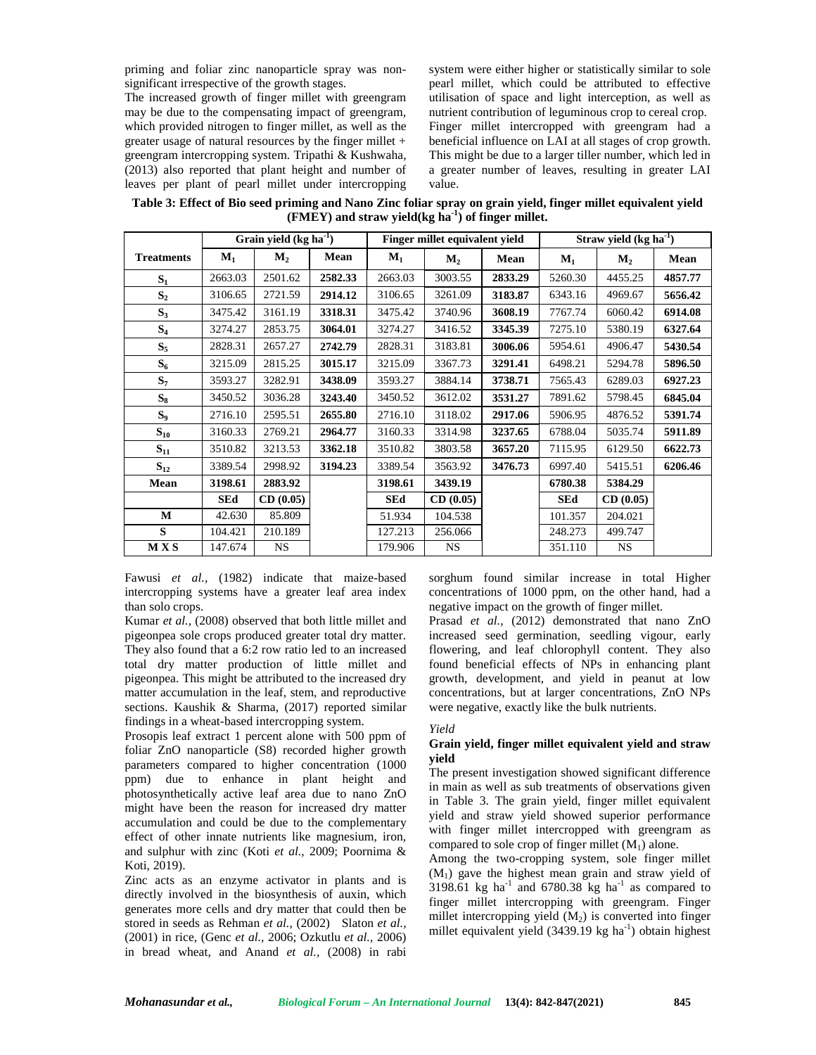priming and foliar zinc nanoparticle spray was non significant irrespective of the growth stages.

The increased growth of finger millet with greengram may be due to the compensating impact of greengram, which provided nitrogen to finger millet, as well as the greater usage of natural resources by the finger millet + greengram intercropping system. Tripathi & Kushwaha, (2013) also reported that plant height and number of leaves per plant of pearl millet under intercropping

system were either higher or statistically similar to sole pearl millet, which could be attributed to effective utilisation of space and light interception, as well as nutrient contribution of leguminous crop to cereal crop. Finger millet intercropped with greengram had a beneficial influence on LAI at all stages of crop growth. This might be due to a larger tiller number, which led in a greater number of leaves, resulting in greater LAI value.

**Table 3: Effect of Bio seed priming and Nano Zinc foliar spray on grain yield, finger millet equivalent yield (FMEY) and straw yield(kg ha-1) of finger millet.**

|                   | Grain yield $(kg ha-1)$ |           |         | Finger millet equivalent vield |           |         | Straw yield $(kg ha-1)$ |           |         |
|-------------------|-------------------------|-----------|---------|--------------------------------|-----------|---------|-------------------------|-----------|---------|
| <b>Treatments</b> | $M_1$                   | $M_{2}$   | Mean    | $M_1$                          | $M_2$     | Mean    | $M_1$                   | $M_{2}$   | Mean    |
| S <sub>1</sub>    | 2663.03                 | 2501.62   | 2582.33 | 2663.03                        | 3003.55   | 2833.29 | 5260.30                 | 4455.25   | 4857.77 |
| $S_2$             | 3106.65                 | 2721.59   | 2914.12 | 3106.65                        | 3261.09   | 3183.87 | 6343.16                 | 4969.67   | 5656.42 |
| $S_3$             | 3475.42                 | 3161.19   | 3318.31 | 3475.42                        | 3740.96   | 3608.19 | 7767.74                 | 6060.42   | 6914.08 |
| $S_4$             | 3274.27                 | 2853.75   | 3064.01 | 3274.27                        | 3416.52   | 3345.39 | 7275.10                 | 5380.19   | 6327.64 |
| $S_5$             | 2828.31                 | 2657.27   | 2742.79 | 2828.31                        | 3183.81   | 3006.06 | 5954.61                 | 4906.47   | 5430.54 |
| $S_6$             | 3215.09                 | 2815.25   | 3015.17 | 3215.09                        | 3367.73   | 3291.41 | 6498.21                 | 5294.78   | 5896.50 |
| $S_7$             | 3593.27                 | 3282.91   | 3438.09 | 3593.27                        | 3884.14   | 3738.71 | 7565.43                 | 6289.03   | 6927.23 |
| $S_8$             | 3450.52                 | 3036.28   | 3243.40 | 3450.52                        | 3612.02   | 3531.27 | 7891.62                 | 5798.45   | 6845.04 |
| $S_9$             | 2716.10                 | 2595.51   | 2655.80 | 2716.10                        | 3118.02   | 2917.06 | 5906.95                 | 4876.52   | 5391.74 |
| $S_{10}$          | 3160.33                 | 2769.21   | 2964.77 | 3160.33                        | 3314.98   | 3237.65 | 6788.04                 | 5035.74   | 5911.89 |
| $S_{11}$          | 3510.82                 | 3213.53   | 3362.18 | 3510.82                        | 3803.58   | 3657.20 | 7115.95                 | 6129.50   | 6622.73 |
| $S_{12}$          | 3389.54                 | 2998.92   | 3194.23 | 3389.54                        | 3563.92   | 3476.73 | 6997.40                 | 5415.51   | 6206.46 |
| Mean              | 3198.61                 | 2883.92   |         | 3198.61                        | 3439.19   |         | 6780.38                 | 5384.29   |         |
|                   | SEd                     | CD(0.05)  |         | <b>SEd</b>                     | CD(0.05)  |         | <b>SEd</b>              | CD(0.05)  |         |
| M                 | 42.630                  | 85.809    |         | 51.934                         | 104.538   |         | 101.357                 | 204.021   |         |
| S                 | 104.421                 | 210.189   |         | 127.213                        | 256.066   |         | 248.273                 | 499.747   |         |
| <b>MXS</b>        | 147.674                 | <b>NS</b> |         | 179.906                        | <b>NS</b> |         | 351.110                 | <b>NS</b> |         |

Fawusi *et al.,* (1982) indicate that maize-based intercropping systems have a greater leaf area index than solo crops.

Kumar *et al.,* (2008) observed that both little millet and pigeonpea sole crops produced greater total dry matter. They also found that a 6:2 row ratio led to an increased total dry matter production of little millet and pigeonpea. This might be attributed to the increased dry matter accumulation in the leaf, stem, and reproductive sections. Kaushik & Sharma, (2017) reported similar findings in a wheat-based intercropping system.

Prosopis leaf extract 1 percent alone with 500 ppm of foliar ZnO nanoparticle (S8) recorded higher growth parameters compared to higher concentration (1000 ppm) due to enhance in plant height and photosynthetically active leaf area due to nano ZnO might have been the reason for increased dry matter accumulation and could be due to the complementary effect of other innate nutrients like magnesium, iron, and sulphur with zinc (Koti *et al.,* 2009; Poornima & Koti, 2019).

Zinc acts as an enzyme activator in plants and is directly involved in the biosynthesis of auxin, which generates more cells and dry matter that could then be stored in seeds as Rehman *et al.,* (2002) Slaton *et al.,* (2001) in rice, (Genc *et al.,* 2006; Ozkutlu *et al.,* 2006) in bread wheat, and Anand *et al.,* (2008) in rabi

sorghum found similar increase in total Higher concentrations of 1000 ppm, on the other hand, had a negative impact on the growth of finger millet.

Prasad *et al.,* (2012) demonstrated that nano ZnO increased seed germination, seedling vigour, early flowering, and leaf chlorophyll content. They also found beneficial effects of NPs in enhancing plant growth, development, and yield in peanut at low concentrations, but at larger concentrations, ZnO NPs were negative, exactly like the bulk nutrients.

# *Yield*

## **Grain yield, finger millet equivalent yield and straw yield**

The present investigation showed significant difference in main as well as sub treatments of observations given in Table 3. The grain yield, finger millet equivalent yield and straw yield showed superior performance with finger millet intercropped with greengram as compared to sole crop of finger millet  $(M_1)$  alone.

Among the two-cropping system, sole finger millet  $(M<sub>1</sub>)$  gave the highest mean grain and straw yield of 3198.61 kg ha<sup>-1</sup> and 6780.38 kg ha<sup>-1</sup> as compared to finger millet intercropping with greengram. Finger millet intercropping yield  $(M_2)$  is converted into finger millet equivalent yield  $(3439.19 \text{ kg ha}^{-1})$  obtain highest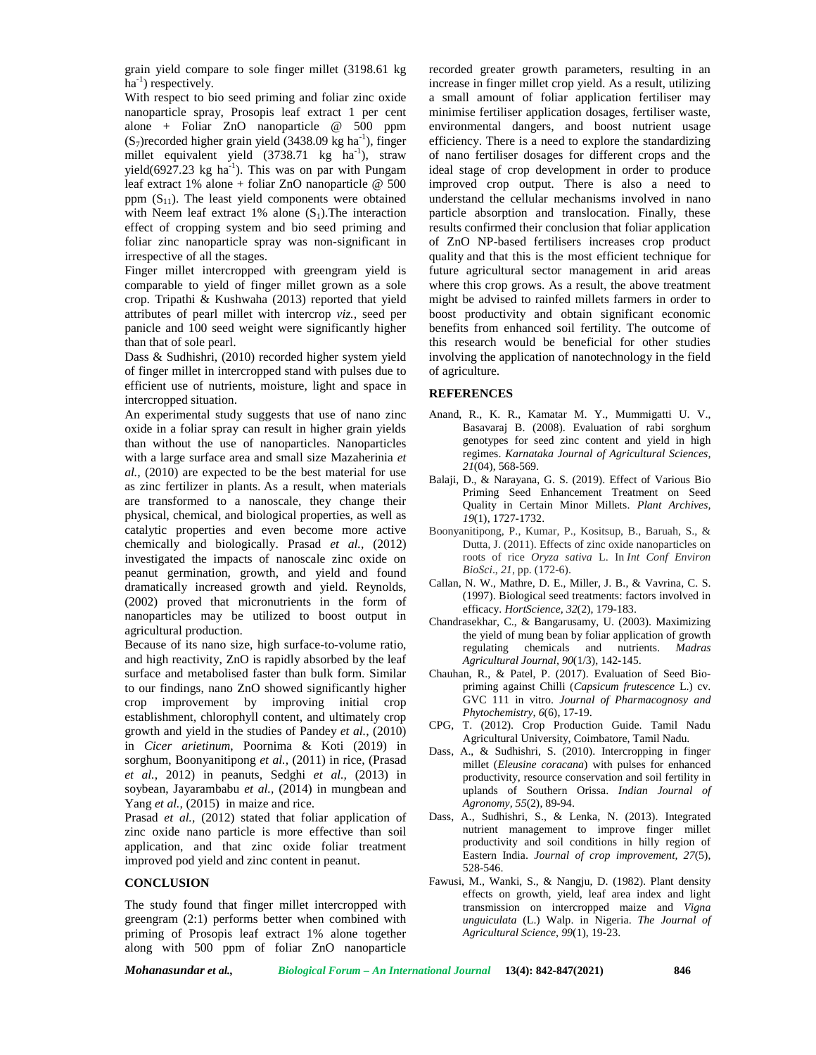grain yield compare to sole finger millet (3198.61 kg  $ha^{-1}$ ) respectively.

With respect to bio seed priming and foliar zinc oxide nanoparticle spray, Prosopis leaf extract 1 per cent alone + Foliar ZnO nanoparticle @ 500 ppm  $(S_7)$ recorded higher grain yield (3438.09 kg ha<sup>-1</sup>), finger millet equivalent yield (3738.71 kg ha<sup>-1</sup>), straw yield(6927.23 kg ha<sup>-1</sup>). This was on par with Pungam leaf extract 1% alone + foliar ZnO nanoparticle @ 500 ppm  $(S_{11})$ . The least yield components were obtained with Neem leaf extract 1% alone  $(S_1)$ . The interaction effect of cropping system and bio seed priming and foliar zinc nanoparticle spray was non-significant in irrespective of all the stages.

Finger millet intercropped with greengram yield is comparable to yield of finger millet grown as a sole crop. Tripathi & Kushwaha (2013) reported that yield attributes of pearl millet with intercrop *viz.,* seed per panicle and 100 seed weight were significantly higher than that of sole pearl.

Dass & Sudhishri, (2010) recorded higher system yield of finger millet in intercropped stand with pulses due to efficient use of nutrients, moisture, light and space in intercropped situation.

An experimental study suggests that use of nano zinc oxide in a foliar spray can result in higher grain yields than without the use of nanoparticles. Nanoparticles with a large surface area and small size Mazaherinia *et al.,* (2010) are expected to be the best material for use as zinc fertilizer in plants. As a result, when materials are transformed to a nanoscale, they change their physical, chemical, and biological properties, as well as catalytic properties and even become more active chemically and biologically. Prasad *et al.,* (2012) investigated the impacts of nanoscale zinc oxide on peanut germination, growth, and yield and found dramatically increased growth and yield. Reynolds, (2002) proved that micronutrients in the form of nanoparticles may be utilized to boost output in agricultural production.

Because of its nano size, high surface-to-volume ratio, and high reactivity, ZnO is rapidly absorbed by the leaf surface and metabolised faster than bulk form. Similar to our findings, nano ZnO showed significantly higher crop improvement by improving initial crop establishment, chlorophyll content, and ultimately crop growth and yield in the studies of Pandey *et al.,* (2010) in *Cicer arietinum*, Poornima & Koti (2019) in sorghum, Boonyanitipong *et al.,* (2011) in rice, (Prasad *et al.*, 2012) in peanuts, Sedghi *et al.,* (2013) in soybean, Jayarambabu *et al.,* (2014) in mungbean and Yang *et al.*, (2015) in maize and rice.

Prasad *et al.*, (2012) stated that foliar application of zinc oxide nano particle is more effective than soil application, and that zinc oxide foliar treatment improved pod yield and zinc content in peanut.

# **CONCLUSION**

The study found that finger millet intercropped with greengram (2:1) performs better when combined with priming of Prosopis leaf extract 1% alone together along with 500 ppm of foliar ZnO nanoparticle

recorded greater growth parameters, resulting in an increase in finger millet crop yield. As a result, utilizing a small amount of foliar application fertiliser may minimise fertiliser application dosages, fertiliser waste, environmental dangers, and boost nutrient usage efficiency. There is a need to explore the standardizing of nano fertiliser dosages for different crops and the ideal stage of crop development in order to produce improved crop output. There is also a need to understand the cellular mechanisms involved in nano particle absorption and translocation. Finally, these results confirmed their conclusion that foliar application of ZnO NP-based fertilisers increases crop product quality and that this is the most efficient technique for future agricultural sector management in arid areas where this crop grows. As a result, the above treatment might be advised to rainfed millets farmers in order to boost productivity and obtain significant economic benefits from enhanced soil fertility. The outcome of this research would be beneficial for other studies involving the application of nanotechnology in the field of agriculture.

#### **REFERENCES**

- Anand, R., K. R., Kamatar M. Y., Mummigatti U. V., Basavaraj B. (2008). Evaluation of rabi sorghum genotypes for seed zinc content and yield in high regimes. *Karnataka Journal of Agricultural Sciences, 21*(04), 568-569.
- Balaji, D., & Narayana, G. S. (2019). Effect of Various Bio Priming Seed Enhancement Treatment on Seed Quality in Certain Minor Millets. *Plant Archives, 19*(1), 1727-1732.
- Boonyanitipong, P., Kumar, P., Kositsup, B., Baruah, S., & Dutta, J. (2011). Effects of zinc oxide nanoparticles on roots of rice *Oryza sativa* L. In *Int Conf Environ BioSci*., *21*, pp. (172-6).
- Callan, N. W., Mathre, D. E., Miller, J. B., & Vavrina, C. S. (1997). Biological seed treatments: factors involved in efficacy. *HortScience, 32*(2), 179-183.
- Chandrasekhar, C., & Bangarusamy, U. (2003). Maximizing the yield of mung bean by foliar application of growth regulating chemicals and nutrients. *Madras Agricultural Journal, 90*(1/3), 142-145.
- Chauhan, R., & Patel, P. (2017). Evaluation of Seed Bio priming against Chilli (*Capsicum frutescence* L.) cv. GVC 111 in vitro. *Journal of Pharmacognosy and Phytochemistry, 6*(6), 17-19.
- CPG, T. (2012). Crop Production Guide. Tamil Nadu Agricultural University, Coimbatore, Tamil Nadu.
- Dass, A., & Sudhishri, S. (2010). Intercropping in finger millet (*Eleusine coracana*) with pulses for enhanced productivity, resource conservation and soil fertility in uplands of Southern Orissa. *Indian Journal of Agronomy, 55*(2), 89-94.
- Dass, A., Sudhishri, S., & Lenka, N. (2013). Integrated nutrient management to improve finger millet productivity and soil conditions in hilly region of Eastern India. *Journal of crop improvement, 27*(5), 528-546.
- Fawusi, M., Wanki, S., & Nangju, D. (1982). Plant density effects on growth, yield, leaf area index and light transmission on intercropped maize and *Vigna unguiculata* (L.) Walp. in Nigeria. *The Journal of Agricultural Science, 99*(1), 19-23.